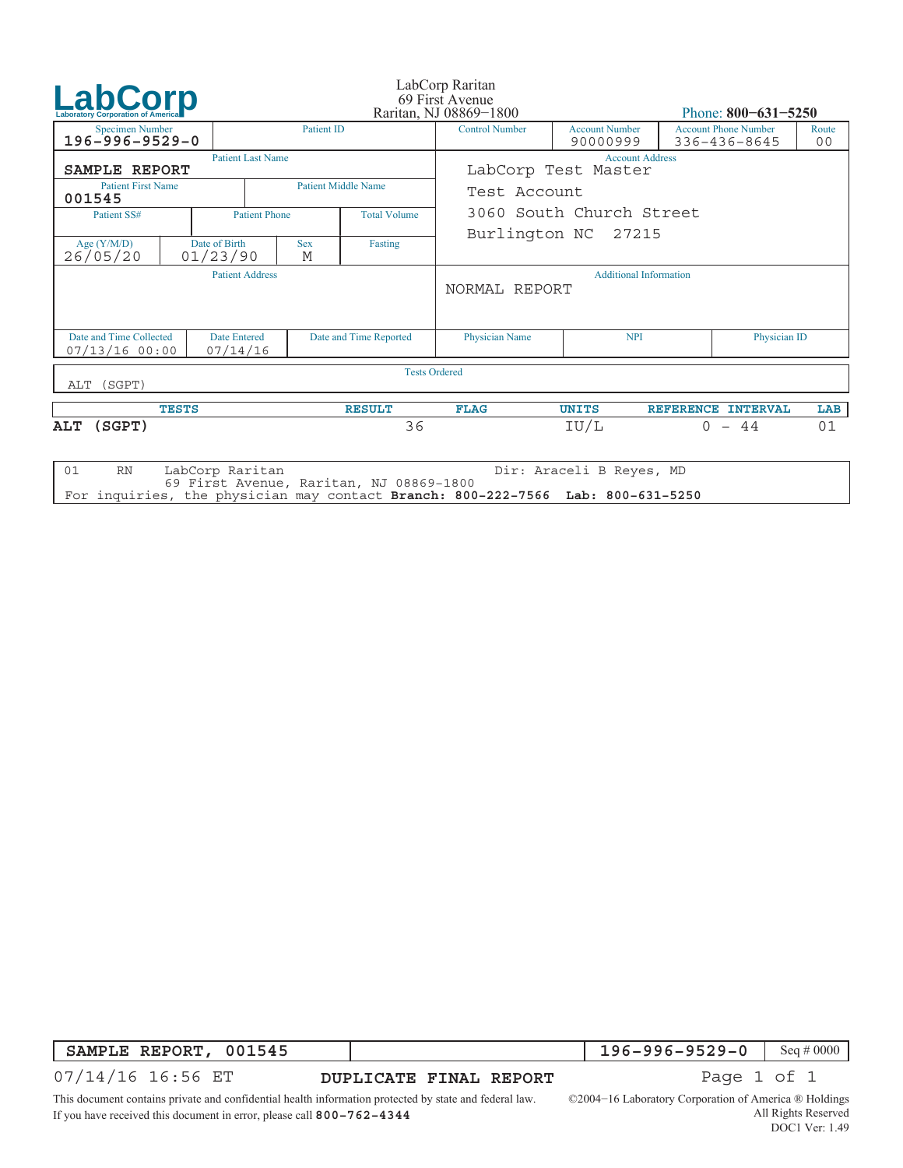| LabCorp                                                                        |                           |                          | LabCorp Raritan<br>69 First Avenue<br>Raritan, NJ 08869-1800 |                                         |                                                |                                   | Phone: $800 - 631 - 5250$                   |              |                         |  |
|--------------------------------------------------------------------------------|---------------------------|--------------------------|--------------------------------------------------------------|-----------------------------------------|------------------------------------------------|-----------------------------------|---------------------------------------------|--------------|-------------------------|--|
| <b>Specimen Number</b><br>$196 - 996 - 9529 - 0$                               |                           |                          | <b>Patient ID</b>                                            |                                         | <b>Control Number</b>                          | <b>Account Number</b><br>90000999 | <b>Account Phone Number</b><br>336-436-8645 |              | Route<br>0 <sub>0</sub> |  |
| SAMPLE REPORT                                                                  |                           | <b>Patient Last Name</b> |                                                              |                                         | <b>Account Address</b><br>LabCorp Test Master  |                                   |                                             |              |                         |  |
| <b>Patient First Name</b><br>001545                                            |                           |                          | <b>Patient Middle Name</b>                                   | Test Account                            |                                                |                                   |                                             |              |                         |  |
| Patient SS#                                                                    | <b>Patient Phone</b>      |                          | <b>Total Volume</b>                                          |                                         | 3060 South Church Street                       |                                   |                                             |              |                         |  |
| Age $(Y/M/D)$<br>26/05/20                                                      | Date of Birth<br>01/23/90 |                          | <b>Sex</b><br>M                                              | Fasting                                 | Burlington NC 27215                            |                                   |                                             |              |                         |  |
|                                                                                |                           | <b>Patient Address</b>   |                                                              |                                         | <b>Additional Information</b><br>NORMAL REPORT |                                   |                                             |              |                         |  |
| Date and Time Collected<br><b>Date Entered</b><br>$07/13/16$ 00:00<br>07/14/16 |                           |                          | Date and Time Reported                                       |                                         | <b>Physician Name</b>                          | <b>NPI</b>                        |                                             | Physician ID |                         |  |
| (SGPT)<br>ALT                                                                  |                           |                          |                                                              | <b>Tests Ordered</b>                    |                                                |                                   |                                             |              |                         |  |
| <b>TESTS</b>                                                                   |                           |                          | <b>RESULT</b>                                                | <b>FLAG</b>                             | <b>UNITS</b>                                   | <b>REFERENCE</b>                  | <b>INTERVAL</b>                             | LAB          |                         |  |
| (SGPT)<br>ALT                                                                  |                           |                          |                                                              | 36                                      |                                                | IU/L                              | $0 - 44$                                    |              | 01                      |  |
| 01<br><b>RN</b>                                                                | LabCorp Raritan           |                          |                                                              | 69 First Avenue, Raritan, NJ 08869-1800 |                                                | Dir: Araceli B Reyes, MD          |                                             |              |                         |  |

69 First Avenue, The physician may contact Branch: 800 For inquiries, the physician may contact **Branch: 800−222−7566 Lab: 800−631−5250**

**SAMPLE REPORT, 001545**<br>07/14/16 16:56 ET

**196−996−9529−0** Seq#0000<br>Page 1 of 1

This document contains private and confidential health information protected by state and federal law. If you have received this document in error, please call **800−762−4344**

<u>D</u><br> **DUPLICATE FINAL REPORTER FINAL REPORT**<br>
DEPENDING TO 16 Laboratory Corporation of America ® Holdings All Rights Reserved DOC1 Ver: 1.49